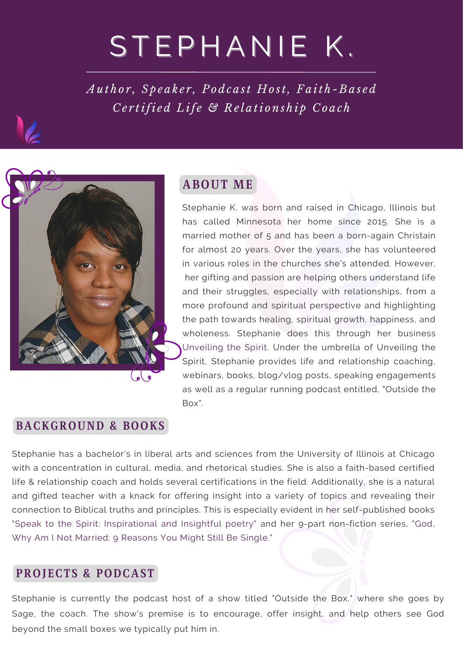# STEPHANIE K.

*Aut h o r , Sp e a k e r , Podc a st Ho st, Fa it h -Ba s ed Ce r tifi ed L if e & Re l a ti ons h i p Co a c h*



# **ABOUT ME**

Stephanie K. was born and raised in Chicago, Illinois but has called Minnesota her home since 2015. She is a married mother of 5 and has been a born-again Christain for almost 20 years. Over the years, she has volunteered in various roles in the churches she's attended. However, her gifting and passion are helping others understand life and their struggles, especially with relationships, from a more profound and spiritual perspective and highlighting the path towards healing, spiritual growth, happiness, and wholeness. Stephanie does this through her business Unveiling the Spirit. Under the umbrella of Unveiling the Spirit, Stephanie provides life and relationship coaching, webinars, books, blog/vlog posts, speaking engagements as well as a regular running podcast entitled, "Outside the Box".

### **BACKGROUND & BOOKS**

Stephanie has a bachelor's in liberal arts and sciences from the University of Illinois at Chicago with a concentration in cultural, media, and rhetorical studies. She is also a faith-based certified life & relationship coach and holds several certifications in the field. Additionally, she is a natural and gifted teacher with a knack for offering insight into a variety of topics and revealing their connection to Biblical truths and principles. This is especially evident in her self-published books "Speak to the Spirit: Inspirational and Insightful poetry" and her 9-part non-fiction series, "God, Why Am I Not Married: 9 Reasons You Might Still Be Single."

#### **PROJECTS & PODCAST**

Stephanie is currently the podcast host of a show titled "Outside the Box," where she goes by Sage, the coach. The show's premise is to encourage, offer insight, and help others see God beyond the small boxes we typically put him in.